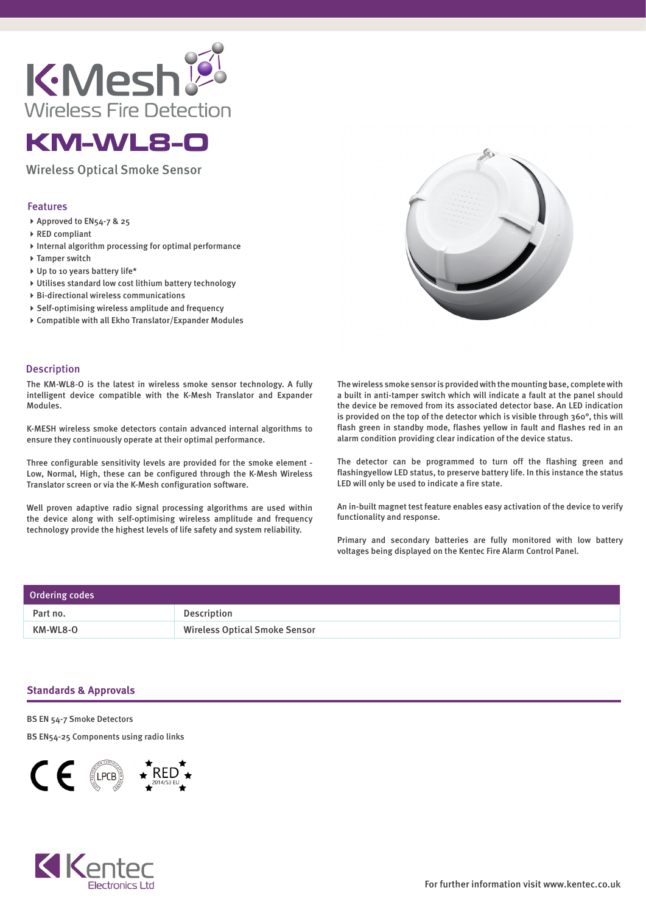



## Wireless Optical Smoke Sensor

## Features

- ▶ Approved to EN54-7 & 25
- ▶ RED compliant
- $\triangleright$  Internal algorithm processing for optimal performance
- ▶ Tamper switch
- ▶ Up to 10 years battery life\*
- Utilises standard low cost lithium battery technology
- Bi-directional wireless communications
- $\triangleright$  Self-optimising wireless amplitude and frequency
- Compatible with all Ekho Translator/Expander Modules



## Description

The KM-WL8-O is the latest in wireless smoke sensor technology. A fully intelligent device compatible with the K-Mesh Translator and Expander Modules.

K-MESH wireless smoke detectors contain advanced internal algorithms to ensure they continuously operate at their optimal performance.

Three configurable sensitivity levels are provided for the smoke element - Low, Normal, High, these can be configured through the K-Mesh Wireless Translator screen or via the K-Mesh configuration software.

Well proven adaptive radio signal processing algorithms are used within the device along with self-optimising wireless amplitude and frequency technology provide the highest levels of life safety and system reliability.

The wireless smoke sensor is provided with the mounting base, complete with a built in anti-tamper switch which will indicate a fault at the panel should the device be removed from its associated detector base. An LED indication is provided on the top of the detector which is visible through 360°, this will flash green in standby mode, flashes yellow in fault and flashes red in an alarm condition providing clear indication of the device status.

The detector can be programmed to turn off the flashing green and flashingyellow LED status, to preserve battery life. In this instance the status LED will only be used to indicate a fire state.

An in-built magnet test feature enables easy activation of the device to verify functionality and response.

Primary and secondary batteries are fully monitored with low battery voltages being displayed on the Kentec Fire Alarm Control Panel.

| Ordering codes |                                      |
|----------------|--------------------------------------|
| Part no.       | Description                          |
| KM-WL8-O       | <b>Wireless Optical Smoke Sensor</b> |

## **Standards & Approvals**

BS EN 54-7 Smoke Detectors

BS EN54-25 Components using radio links